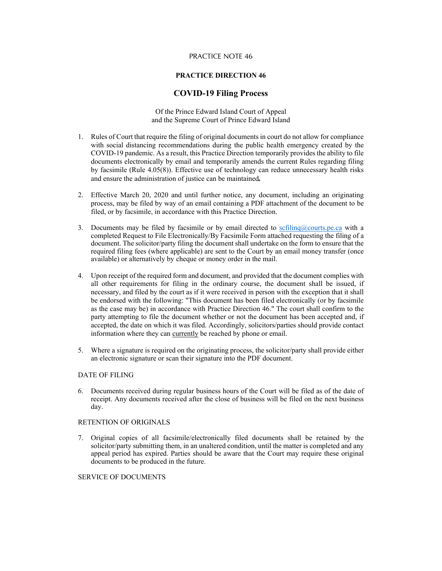## PRACTICE NOTE 46

## **PRACTICE DIRECTION 46**

## **COVID-19 Filing Process**

Of the Prince Edward Island Court of Appeal and the Supreme Court of Prince Edward Island

- 1. Rules of Court that require the filing of original documents in court do not allow for compliance with social distancing recommendations during the public health emergency created by the COVID-19 pandemic. As a result, this Practice Direction temporarily provides the ability to file documents electronically by email and temporarily amends the current Rules regarding filing by facsimile (Rule 4.05(8)). Effective use of technology can reduce unnecessary health risks and ensure the administration of justice can be maintained
- 2. Effective March 20, 2020 and until further notice, any document, including an originating process, may be filed by way of an email containing a PDF attachment of the document to be filed, or by facsimile, in accordance with this Practice Direction.
- 3. Documents may be filed by facsimile or by email directed to scfiling@courts.pe.ca with a completed Request to File Electronically/By Facsimile Form attached requesting the filing of a document. The solicitor/party filing the document shall undertake on the form to ensure that the required filing fees (where applicable) are sent to the Court by an email money transfer (once available) or alternatively by cheque or money order in the mail.
- 4. Upon receipt of the required form and document, and provided that the document complies with all other requirements for filing in the ordinary course, the document shall be issued, if necessary, and filed by the court as if it were received in person with the exception that it shall be endorsed with the following: "This document has been filed electronically (or by facsimile as the case may be) in accordance with Practice Direction 46." The court shall confirm to the party attempting to file the document whether or not the document has been accepted and, if accepted, the date on which it was filed. Accordingly, solicitors/parties should provide contact information where they can currently be reached by phone or email.
- 5. Where a signature is required on the originating process, the solicitor/party shall provide either an electronic signature or scan their signature into the PDF document.

### DATE OF FILING

6. Documents received during regular business hours of the Court will be filed as of the date of receipt. Any documents received after the close of business will be filed on the next business day.

#### RETENTION OF ORIGINALS

7. Original copies of all facsimile/electronically filed documents shall be retained by the solicitor/party submitting them, in an unaltered condition, until the matter is completed and any appeal period has expired. Parties should be aware that the Court may require these original documents to be produced in the future.

#### SERVICE OF DOCUMENTS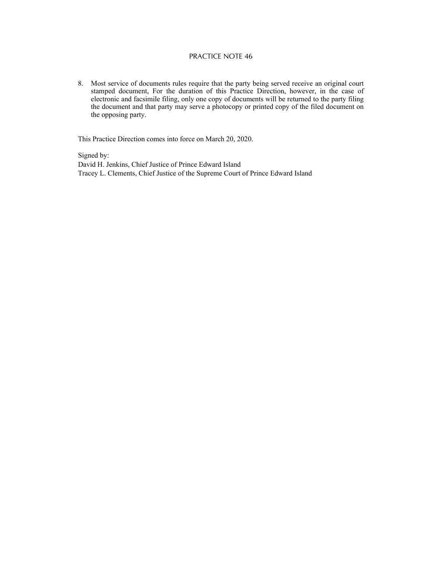# PRACTICE NOTE 46

8. Most service of documents rules require that the party being served receive an original court stamped document, For the duration of this Practice Direction, however, in the case of electronic and facsimile filing, only one copy of documents will be returned to the party filing the document and that party may serve a photocopy or printed copy of the filed document on the opposing party.

This Practice Direction comes into force on March 20, 2020.

Signed by: David H. Jenkins, Chief Justice of Prince Edward Island Tracey L. Clements, Chief Justice of the Supreme Court of Prince Edward Island